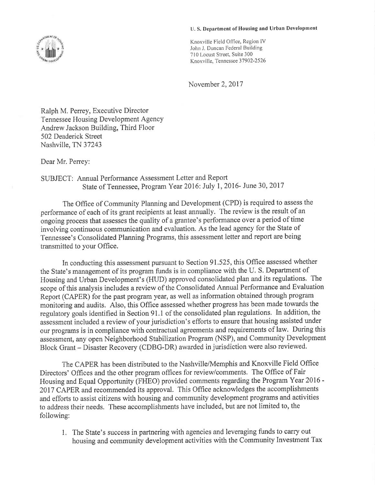## U. S, Department of Housing and Urban Development

Knoxville Field Office, Region IV John J. Duncan Federal Building 710 Locust Street, Suite 300 Knoxville, Tennessee 37902-2526

November 2, 2017

Ralph M. Peney, Executive Director Tennessee Housing Development Agency Andrew Jackson Building, Third Floor 502 Deaderick Street Nashville, TN 37243

Dear Mr. Perrey:

## SUBJECT: Annual Performance Assessment Letter and Report State of Tennessee, Program Year 2016: July 1, 2016- June 30, 2017

The Office of Community Planning and Development (CPD) is required to assess the performance of each of its grant recipients at least annually. The review is the result of an ongoing process that assesses the quality of a grantee's performance over a period of time involving continuous communication and evaluation. As the lead agency for the State of Tennessee's Consolidated Planning Programs, this assessment letter and report are being transmitted to your Office.

In conducting this assessment pursuant to Section 91.525, this Office assessed whether the State's management of its program funds is in compliance with the U. S. Department of Housing and Urban Development's (HUD) approved consolidated plan and its regulations. The scope of this analysis includes a review of the Consolidated Annual Performance and Evaluation Report (CAPER) for the past program year, as well as information obtained through program monitoring and audits. Also, this Office assessed whether progress has been made towards the regulatory goals identified in Section 91.1 of the consolidated plan regulations. In addition, the assessment included a review of your jurisdiction's efforts to ensure that housing assisted under our programs is in compliance with contractual agreements and requirements of law. During this assessment, any open Neighborhood Stabilization Program (NSP), and Community Development Block Grant - Disaster Recovery (CDBG-DR) awarded in jurisdiction were also reviewed.

The CAPER has been distributed to the Nashville/Memphis and Knoxville Field Office Directors' Offices and the other program offices for review/comments. The Office of Fair Housing and Equal Opportunity (FHEO) provided comments regarding the Program Yeat 2016 - 2017 CAPER and recommended its approval. This Office acknowledges the accomplishments and efforts to assist citizens with housing and community development programs and activities to address their needs. These accomplishments have included, but are not limited to, the following:

1. The State's success in partnering with agencies and leveraging funds to carry out housing and community development activities with the Community Investment Tax

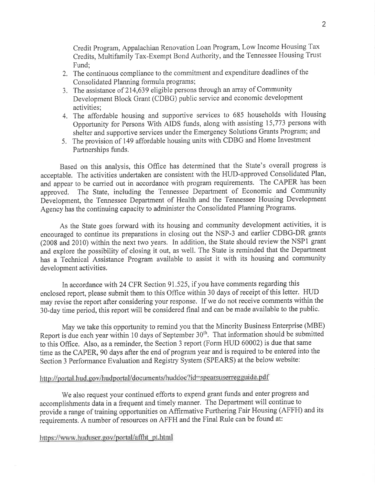Credit Program, Appalachian Renovation Loan Program, Low Income Housing Tax Credits, Multifamily Tax-Exempt Bond Authority, and the Tennessee Housing Trust Fund;

- 2. The continuous compliance to the commitment and expenditure deadlines of the Consolidated Planning formula programs;
- 3. The assistance of  $214,639$  eligible persons through an array of Community Development Block Grant (CDBG) public service and economic development activities;
- 4. The affordable housing and supportive services to 685 households with Housing Opportunity for Persons With AIDS funds, along with assisting 15,773 persons with shelter and supportive services under the Emergency Solutions Grants Program; and
- 5. The provision of 149 affordable housing units with CDBG and Home Investment Partnerships funds.

Based on this analysis, this Office has determined that the State's overall progress is acceptable. The activities undertaken are consistent with the HUD-approved Consolidated Plan, and ãppear to be carried out in accordance with program requirements. The CAPER has been approved. The State, including the Tennessee Department of Economic and Community Development, the Tennessee Department of Health and the Tennessee Housing Development Agency has the continuing capacity to administer the Consolidated Planning Programs.

As the State goes forward with its housing and community development activities, it is encouraged to continue its preparations in closing out the NSP-3 and earlier CDBG-DR grants (2008 and 2010) within the next two years. In addition, the State should review the NSP1 grant and explore the possibility of closing it out, as well. The State is reminded that the Department has a Technical Assistance Program available to assist it with its housing and community development activities

In accordance with 24 CFR Section 91.525, if you have comments regarding this enclosed report, please submit them to this Offîce within 30 days of receipt of this letter. HUD may revise the report after considering your response. If we do not receive comments within the 30-day time period, this report will be considered fînal and can be made available to the public.

May we take this opportunity to remind you that the Minority Business Enterprise (MBE) Report is due each year within 10 days of September 30<sup>th</sup>. That information should be submitted to this Office. Also, as a reminder, the Section 3 report (Form HUD 60002) is due that same time as the CAPER, 90 days after the end of programyear and is required to be entered into the Section 3 Performance Evaluation and Registry System (SPEARS) at the below website:

## http://portal.hud.gov/hudportal/documents/huddoc?id=spearsuserregguide.pdf

We also request your continued efforts to expend grant funds and enter progress and accomplishments data in a frequent and timely manner. The Department will continue to provide a range of training opportunities on Affirmative Furthering Fair Housing (AFFH) and its requirements. A number of resources on AFFH and the Final Rule can be found at:

## https://www.huduser.gov/portal/affht pt.html